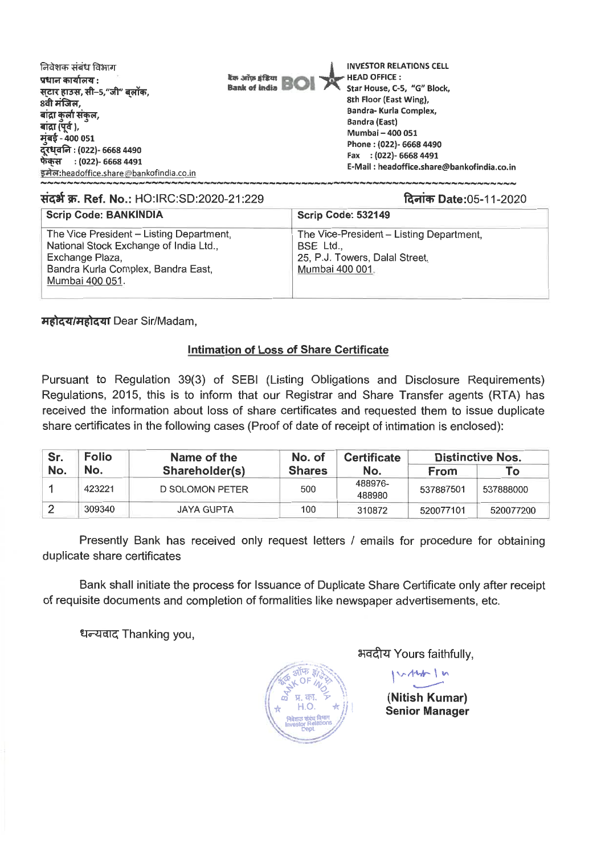| निवेशक संबंध विभाग<br>प्रधान कार्यालय :<br>सटार हाउस, सी–5,"जी" बलॉक,<br>8वी मंजिल,<br>बांद्रा कुर्ला संकुल,<br>बांद्रा (पूर्व ),<br>मुंबई - 400 051<br>दूरध्वनि : (022)- 6668 4490<br>फेंकस : (022)- 6668 4491<br>इमेल:headoffice.share@bankofindia.co.in | <b>INVESTOR RELATIONS CELL</b><br>HEAD OFFICE:<br><b>Non-arrow gifts</b> on<br><b>Bank of India BIO</b><br>Star House, C-5, "G" Block,<br>8th Floor (East Wing),<br>Bandra- Kurla Complex,<br><b>Bandra (East)</b><br>Mumbai - 400 051<br>Phone: (022)- 6668 4490<br>Fax : (022)- 6668 4491<br>E-Mail: headoffice.share@bankofindia.co.in |
|------------------------------------------------------------------------------------------------------------------------------------------------------------------------------------------------------------------------------------------------------------|-------------------------------------------------------------------------------------------------------------------------------------------------------------------------------------------------------------------------------------------------------------------------------------------------------------------------------------------|
|------------------------------------------------------------------------------------------------------------------------------------------------------------------------------------------------------------------------------------------------------------|-------------------------------------------------------------------------------------------------------------------------------------------------------------------------------------------------------------------------------------------------------------------------------------------------------------------------------------------|

संदर्भ क्र. Ref. No.: HO:IRC:SD:2020-21:229 and Date:05-11-2020

| <b>Scrip Code: BANKINDIA</b>                                                                                                                                   | <b>Scrip Code: 532149</b>                                                                                  |
|----------------------------------------------------------------------------------------------------------------------------------------------------------------|------------------------------------------------------------------------------------------------------------|
| The Vice President - Listing Department,<br>National Stock Exchange of India Ltd.,<br>Exchange Plaza,<br>Bandra Kurla Complex, Bandra East,<br>Mumbai 400 051. | The Vice-President – Listing Department,<br>BSE Ltd.,<br>25, P.J. Towers, Dalal Street,<br>Mumbai 400 001. |

महोदय/महोदया Dear Sir/Madam,

### Intimation of Loss of Share Certificate

Pursuant to Regulation 39(3) of SEBI (Listing Obligations and Disclosure Requirements) Regulations, 2015, this is to inform that our Registrar and Share Transfer agents (RTA) has received the information about loss of share certificates and requested them to issue duplicate share certificates in the following cases (Proof of date of receipt of intimation is enclosed):

| Sr. | <b>Folio</b> | Name of the       | No. of        | <b>Certificate</b> | <b>Distinctive Nos.</b> |           |
|-----|--------------|-------------------|---------------|--------------------|-------------------------|-----------|
| No. | No.          | Shareholder(s)    | <b>Shares</b> | No.                | From                    | Го        |
|     | 423221       | D SOLOMON PETER   | 500           | 488976-<br>488980  | 537887501               | 537888000 |
|     | 309340       | <b>JAYA GUPTA</b> | 100           | 310872             | 520077101               | 520077200 |

Presently Bank has received only request letters / emails for procedure for obtaining duplicate share certificates

Bank shall initiate the process for Issuance of Duplicate Share Certificate only after receipt of requisite documents and completion of formalities like newspaper advertisements, etc.

धन्यवाद Thanking you,



भवदीय Yours faithfully,

 $v \wedge \wedge w \wedge w$ 

**(Nitish Kumar) Senior Manager**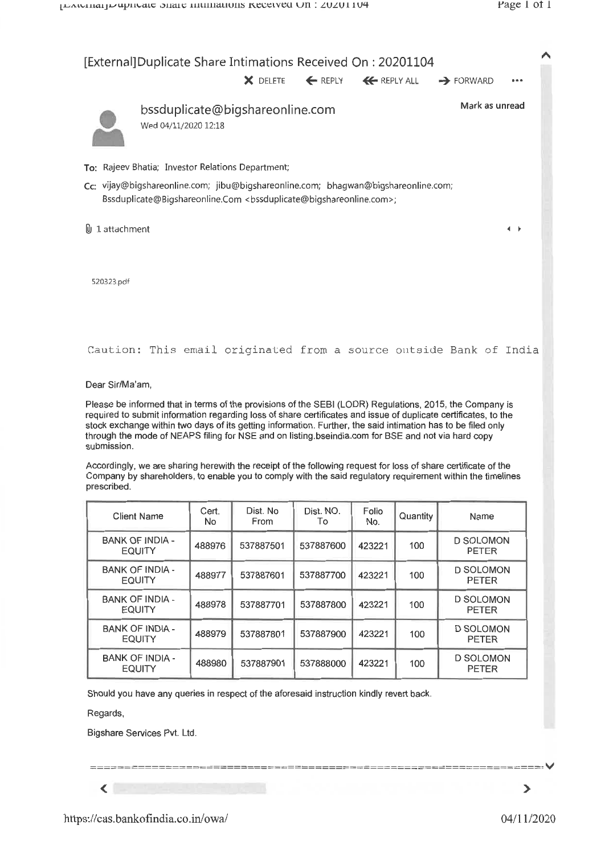

Should you have any queries in respect of the aforesaid instruction kindly revert back.

537887801

537887901

537887900

537888000

488979

488980

Regards,

 $\left\langle \begin{array}{ccc} \end{array} \right\rangle$ 

Bigshare Services Pvt. Ltd.

**BANK OF INDIA -**

**EQUITY** 

**BANK OF INDIA -**

**EQUITY** 

 $\blacktriangleright$ 

**D SOLOMON** 

**PETER** 

**D SOLOMON** 

**PETER** 

100

100

423221

423221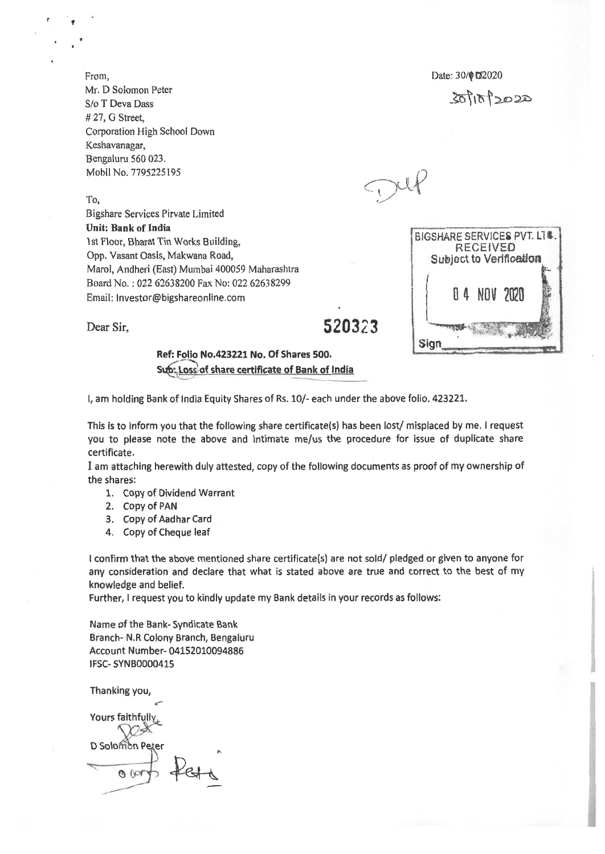From, Mr. D Solomon Peter S/o T Deva Dass # 27, G Street, Corporation High School Down Keshavanagar, Bengaluru 560 023. Mobil No. 7795225195

To,

Bigshare Services Pirvate Limited **Unit: Bank of India 1st** Floor, Bharat Tin Works Building, Opp. Vasant Oasis, Makwana Road, Marol, Andheri (East) Mumbai 400059 Maharashtra Board No. : 022 62638200 Fax No: 022 62638299 Email: Investor@bigshareonline.com

Dear Sir, 520323

Date: 30/012020

 $301012020$ 

BIGSHARE SERVICES PVT. LTC. RECEIVED Subject to Verification

0 4 NOV 2020

**Sign** 

### **Ref: Folio No.423221 No. Of Shares 500. Solos of share certificate of Bank of India**

I, am holding Bank of India Equity Shares of Rs. 10/- each under the above folio. 423221.

This is to inform you that the following share certificate(s) has been lost/ misplaced by me, I request you to please note the above and intimate me/us the procedure for issue of duplicate share certificate.

I am attaching herewith duly attested, copy of the following documents as proof of my ownership of the shares:

- 1. Copy of Dividend Warrant
- 2. Copy of PAN
- 3. Copy of Aadhar Card
- 4, Copy of Cheque leaf

I confirm that the above mentioned share certificate(s) are not sold/ pledged or given to anyone for any consideration and declare that what is stated above are true and correct to the best of my knowledge and belief.

Further, I request you to kindly update my Bank details in your records as follows:

Name of the Bank- Syndicate Bank Branch- N.R Colony Branch, Bengaluru Account Number- 04152010094886 IFSC- SYNB0000415

Thanking you,

Yours faithfully

D Solomon Peter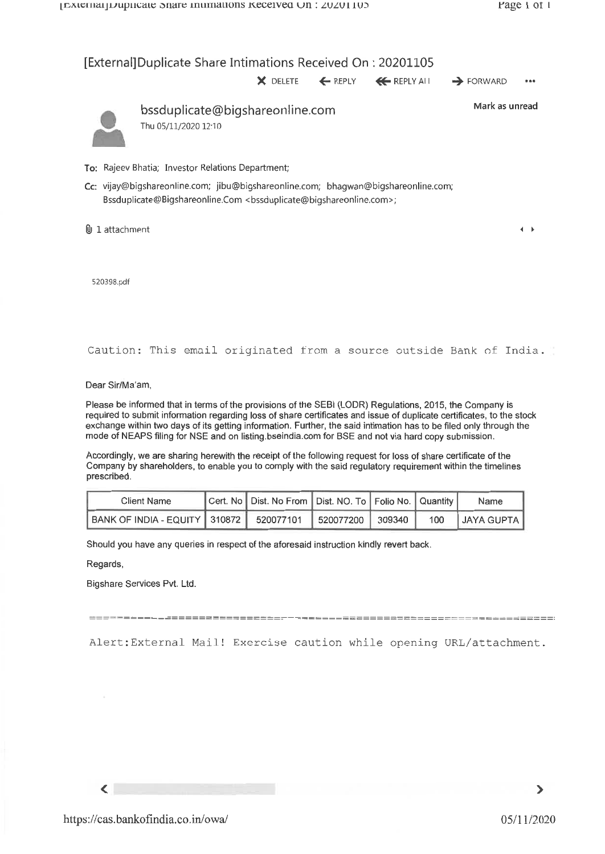## [External]Duplicate Share Intimations Received On : 20201105

**X** DELETE ← REPLY ← REPLY ALL → FORWARD •••



bssduplicate@bigshareonline.com Thu 05/11/2020 12:10

Mark as unread

 $4 - 6$ 

- To: Rajeev Bhatia; Investor Relations Department;
- Cc: vijay@bigshareonline.com; jibu@bigshareonline.com; bhagwan@bigshareonline.com; Bssduplicate@Bigshareonline.Com <bssduplicate@bigshareonline.com>;

 $0$  1 attachment

520398.pdf

Caution: This email originated from a source outside Bank of India.

Dear Sir/Ma'am,

Please be informed that in terms of the provisions of the SEBI (LODR) Regulations, 2015, the Company is required to submit information regarding loss of share certificates and issue of duplicate certificates, to the stock exchange within two days of its getting information. Further, the said intimation has to be filed only through the mode of NEAPS filing for NSE and on listing.bseindia.com for BSE and not via hard copy submission.

Accordingly, we are sharing herewith the receipt of the following request for loss of share certificate of the Company by shareholders, to enable you to comply with the said regulatory requirement within the timelines prescribed.

| <b>Client Name</b>                                             | Cert. No   Dist. No From   Dist. NO. To   Folio No.   Quantity |  |     | Name       |
|----------------------------------------------------------------|----------------------------------------------------------------|--|-----|------------|
| BANK OF INDIA - EQUITY 310872   520077101   520077200   309340 |                                                                |  | 100 | JAYA GUPTA |

Should you have any queries in respect of the aforesaid instruction kindly revert back.

Regards,

Bigshare Services Pvt. Ltd.

Alert:External Mail! Exercise caution while opening URL/attachment.

 $\langle$